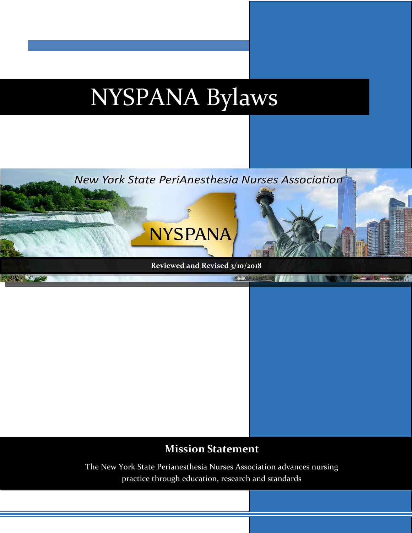# NYSPANA Bylaws



# **Mission Statement**

The New York State Perianesthesia Nurses Association advances nursing practice through education, research and standards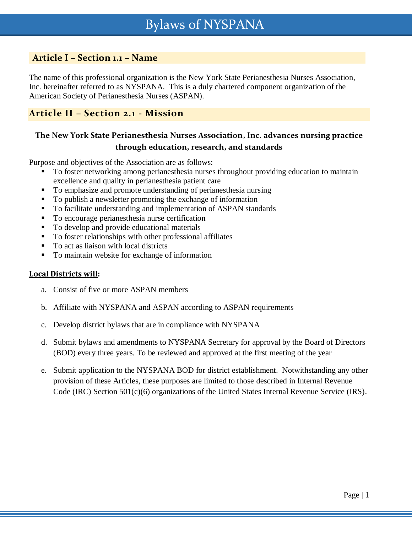## **Article I – Section 1.1 – Name**

The name of this professional organization is the New York State Perianesthesia Nurses Association, Inc. hereinafter referred to as NYSPANA. This is a duly chartered component organization of the American Society of Perianesthesia Nurses (ASPAN).

#### **Article II – Section 2.1 - Mission**

### **The New York State Perianesthesia Nurses Association, Inc. advances nursing practice through education, research, and standards**

Purpose and objectives of the Association are as follows:

- To foster networking among perianesthesia nurses throughout providing education to maintain excellence and quality in perianesthesia patient care
- To emphasize and promote understanding of perianesthesia nursing
- To publish a newsletter promoting the exchange of information
- To facilitate understanding and implementation of ASPAN standards
- To encourage perianesthesia nurse certification
- To develop and provide educational materials
- To foster relationships with other professional affiliates
- To act as liaison with local districts
- To maintain website for exchange of information

#### **Local Districts will:**

- a. Consist of five or more ASPAN members
- b. Affiliate with NYSPANA and ASPAN according to ASPAN requirements
- c. Develop district bylaws that are in compliance with NYSPANA
- d. Submit bylaws and amendments to NYSPANA Secretary for approval by the Board of Directors (BOD) every three years. To be reviewed and approved at the first meeting of the year
- e. Submit application to the NYSPANA BOD for district establishment. Notwithstanding any other provision of these Articles, these purposes are limited to those described in Internal Revenue Code (IRC) Section 501(c)(6) organizations of the United States Internal Revenue Service (IRS).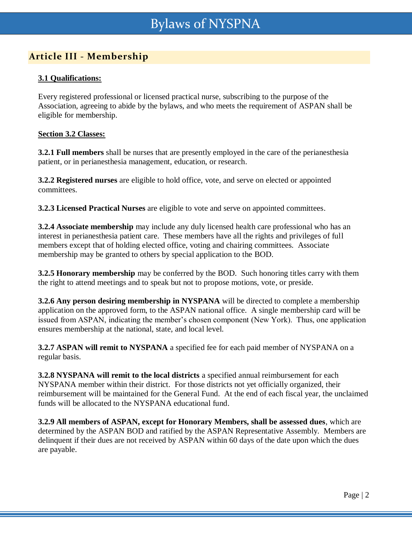# **Article III - Membership**

#### **3.1 Qualifications:**

Every registered professional or licensed practical nurse, subscribing to the purpose of the Association, agreeing to abide by the bylaws, and who meets the requirement of ASPAN shall be eligible for membership.

#### **Section 3.2 Classes:**

**3.2.1 Full members** shall be nurses that are presently employed in the care of the perianesthesia patient, or in perianesthesia management, education, or research.

**3.2.2 Registered nurses** are eligible to hold office, vote, and serve on elected or appointed committees.

**3.2.3 Licensed Practical Nurses** are eligible to vote and serve on appointed committees.

**3.2.4 Associate membership** may include any duly licensed health care professional who has an interest in perianesthesia patient care. These members have all the rights and privileges of full members except that of holding elected office, voting and chairing committees. Associate membership may be granted to others by special application to the BOD.

**3.2.5 Honorary membership** may be conferred by the BOD. Such honoring titles carry with them the right to attend meetings and to speak but not to propose motions, vote, or preside.

**3.2.6 Any person desiring membership in NYSPANA** will be directed to complete a membership application on the approved form, to the ASPAN national office. A single membership card will be issued from ASPAN, indicating the member's chosen component (New York). Thus, one application ensures membership at the national, state, and local level.

**3.2.7 ASPAN will remit to NYSPANA** a specified fee for each paid member of NYSPANA on a regular basis.

**3.2.8 NYSPANA will remit to the local districts** a specified annual reimbursement for each NYSPANA member within their district. For those districts not yet officially organized, their reimbursement will be maintained for the General Fund. At the end of each fiscal year, the unclaimed funds will be allocated to the NYSPANA educational fund.

**3.2.9 All members of ASPAN, except for Honorary Members, shall be assessed dues**, which are determined by the ASPAN BOD and ratified by the ASPAN Representative Assembly. Members are delinquent if their dues are not received by ASPAN within 60 days of the date upon which the dues are payable.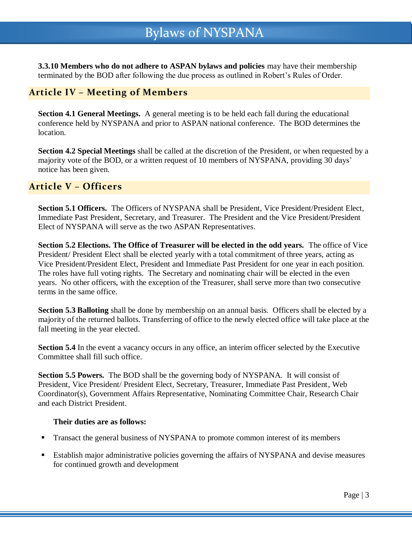**3.3.10 Members who do not adhere to ASPAN bylaws and policies** may have their membership terminated by the BOD after following the due process as outlined in Robert's Rules of Order.

## **Article IV – Meeting of Members**

**Section 4.1 General Meetings.** A general meeting is to be held each fall during the educational conference held by NYSPANA and prior to ASPAN national conference. The BOD determines the location.

**Section 4.2 Special Meetings** shall be called at the discretion of the President, or when requested by a majority vote of the BOD, or a written request of 10 members of NYSPANA, providing 30 days' notice has been given.

## **Article V – Officers**

**Section 5.1 Officers.** The Officers of NYSPANA shall be President, Vice President/President Elect, Immediate Past President, Secretary, and Treasurer. The President and the Vice President/President Elect of NYSPANA will serve as the two ASPAN Representatives.

**Section 5.2 Elections. The Office of Treasurer will be elected in the odd years.** The office of Vice President/ President Elect shall be elected yearly with a total commitment of three years, acting as Vice President/President Elect, President and Immediate Past President for one year in each position. The roles have full voting rights. The Secretary and nominating chair will be elected in the even years. No other officers, with the exception of the Treasurer, shall serve more than two consecutive terms in the same office.

**Section 5.3 Balloting** shall be done by membership on an annual basis. Officers shall be elected by a majority of the returned ballots. Transferring of office to the newly elected office will take place at the fall meeting in the year elected.

**Section 5.4** In the event a vacancy occurs in any office, an interim officer selected by the Executive Committee shall fill such office.

**Section 5.5 Powers.** The BOD shall be the governing body of NYSPANA. It will consist of President, Vice President/ President Elect, Secretary, Treasurer, Immediate Past President, Web Coordinator(s), Government Affairs Representative, Nominating Committee Chair, Research Chair and each District President.

#### **Their duties are as follows:**

- Transact the general business of NYSPANA to promote common interest of its members
- **Establish major administrative policies governing the affairs of NYSPANA and devise measures** for continued growth and development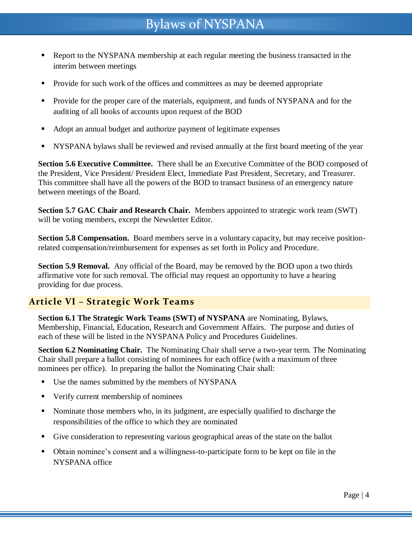# Bylaws of NYSPANA

- Report to the NYSPANA membership at each regular meeting the business transacted in the interim between meetings
- Provide for such work of the offices and committees as may be deemed appropriate
- **Provide for the proper care of the materials, equipment, and funds of NYSPANA and for the** auditing of all books of accounts upon request of the BOD
- Adopt an annual budget and authorize payment of legitimate expenses
- NYSPANA bylaws shall be reviewed and revised annually at the first board meeting of the year

**Section 5.6 Executive Committee.** There shall be an Executive Committee of the BOD composed of the President, Vice President/ President Elect, Immediate Past President, Secretary, and Treasurer. This committee shall have all the powers of the BOD to transact business of an emergency nature between meetings of the Board.

**Section 5.7 GAC Chair and Research Chair.** Members appointed to strategic work team (SWT) will be voting members, except the Newsletter Editor.

**Section 5.8 Compensation.** Board members serve in a voluntary capacity, but may receive positionrelated compensation/reimbursement for expenses as set forth in Policy and Procedure.

**Section 5.9 Removal.** Any official of the Board, may be removed by the BOD upon a two thirds affirmative vote for such removal. The official may request an opportunity to have a hearing providing for due process.

#### **Article VI – Strategic Work Teams**

**Section 6.1 The Strategic Work Teams (SWT) of NYSPANA** are Nominating, Bylaws, Membership, Financial, Education, Research and Government Affairs. The purpose and duties of each of these will be listed in the NYSPANA Policy and Procedures Guidelines.

**Section 6.2 Nominating Chair.** The Nominating Chair shall serve a two-year term. The Nominating Chair shall prepare a ballot consisting of nominees for each office (with a maximum of three nominees per office). In preparing the ballot the Nominating Chair shall:

- Use the names submitted by the members of NYSPANA
- Verify current membership of nominees
- Nominate those members who, in its judgment, are especially qualified to discharge the responsibilities of the office to which they are nominated
- Give consideration to representing various geographical areas of the state on the ballot
- Obtain nominee's consent and a willingness-to-participate form to be kept on file in the NYSPANA office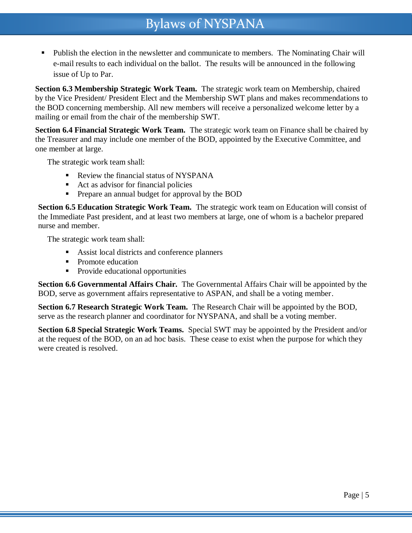# Bylaws of NYSPANA

 Publish the election in the newsletter and communicate to members. The Nominating Chair will e-mail results to each individual on the ballot. The results will be announced in the following issue of Up to Par.

**Section 6.3 Membership Strategic Work Team.** The strategic work team on Membership, chaired by the Vice President/ President Elect and the Membership SWT plans and makes recommendations to the BOD concerning membership. All new members will receive a personalized welcome letter by a mailing or email from the chair of the membership SWT.

**Section 6.4 Financial Strategic Work Team.** The strategic work team on Finance shall be chaired by the Treasurer and may include one member of the BOD, appointed by the Executive Committee, and one member at large.

The strategic work team shall:

- Review the financial status of NYSPANA
- Act as advisor for financial policies
- **Prepare an annual budget for approval by the BOD**

**Section 6.5 Education Strategic Work Team.** The strategic work team on Education will consist of the Immediate Past president, and at least two members at large, one of whom is a bachelor prepared nurse and member.

The strategic work team shall:

- Assist local districts and conference planners
- Promote education
- Provide educational opportunities

**Section 6.6 Governmental Affairs Chair.** The Governmental Affairs Chair will be appointed by the BOD, serve as government affairs representative to ASPAN, and shall be a voting member.

**Section 6.7 Research Strategic Work Team.** The Research Chair will be appointed by the BOD, serve as the research planner and coordinator for NYSPANA, and shall be a voting member.

**Section 6.8 Special Strategic Work Teams.** Special SWT may be appointed by the President and/or at the request of the BOD, on an ad hoc basis. These cease to exist when the purpose for which they were created is resolved.